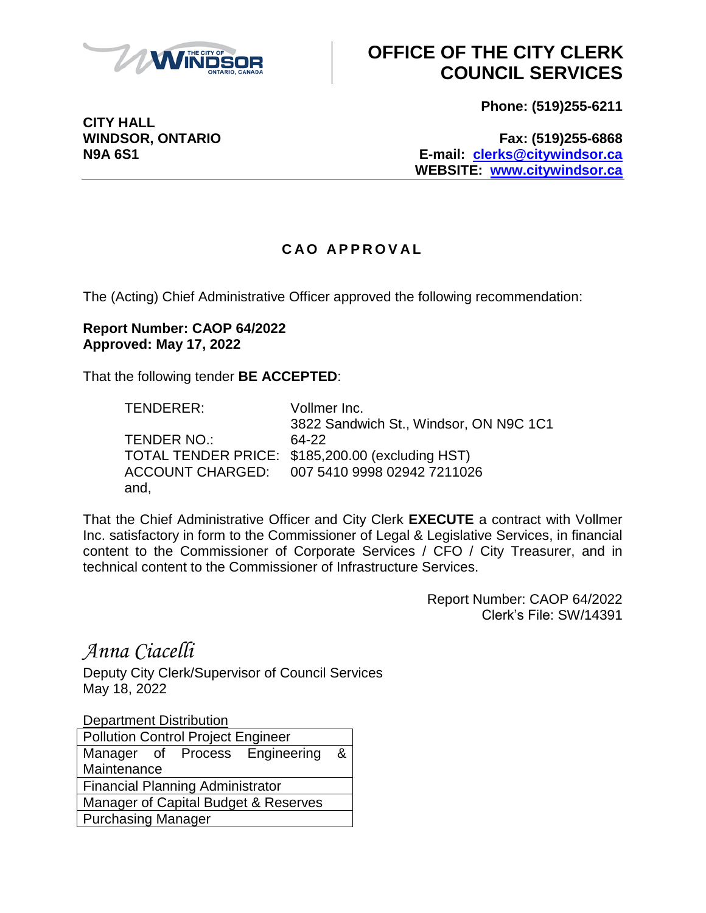

**CITY HALL**

## **OFFICE OF THE CITY CLERK COUNCIL SERVICES**

**Phone: (519)255-6211**

**WINDSOR, ONTARIO Fax: (519)255-6868 N9A 6S1 E-mail: [clerks@citywindsor.ca](mailto:clerks@citywindsor.ca) WEBSITE: [www.citywindsor.ca](http://www.citywindsor.ca/)**

## **C A O A P P R O V A L**

The (Acting) Chief Administrative Officer approved the following recommendation:

## **Report Number: CAOP 64/2022 Approved: May 17, 2022**

That the following tender **BE ACCEPTED**:

| TENDERER:   | Vollmer Inc.                                     |
|-------------|--------------------------------------------------|
|             | 3822 Sandwich St., Windsor, ON N9C 1C1           |
| TENDER NO.: | 64-22                                            |
|             | TOTAL TENDER PRICE: \$185,200.00 (excluding HST) |
|             | ACCOUNT CHARGED: 007 5410 9998 02942 7211026     |
| and,        |                                                  |

That the Chief Administrative Officer and City Clerk **EXECUTE** a contract with Vollmer Inc. satisfactory in form to the Commissioner of Legal & Legislative Services, in financial content to the Commissioner of Corporate Services / CFO / City Treasurer, and in technical content to the Commissioner of Infrastructure Services.

> Report Number: CAOP 64/2022 Clerk's File: SW/14391

*Anna Ciacelli*

Deputy City Clerk/Supervisor of Council Services May 18, 2022

Department Distribution

| <b>Pollution Control Project Engineer</b> |  |  |                                     |  |  |  |
|-------------------------------------------|--|--|-------------------------------------|--|--|--|
|                                           |  |  | Manager of Process Engineering<br>& |  |  |  |
| Maintenance                               |  |  |                                     |  |  |  |
| <b>Financial Planning Administrator</b>   |  |  |                                     |  |  |  |
| Manager of Capital Budget & Reserves      |  |  |                                     |  |  |  |
| <b>Purchasing Manager</b>                 |  |  |                                     |  |  |  |